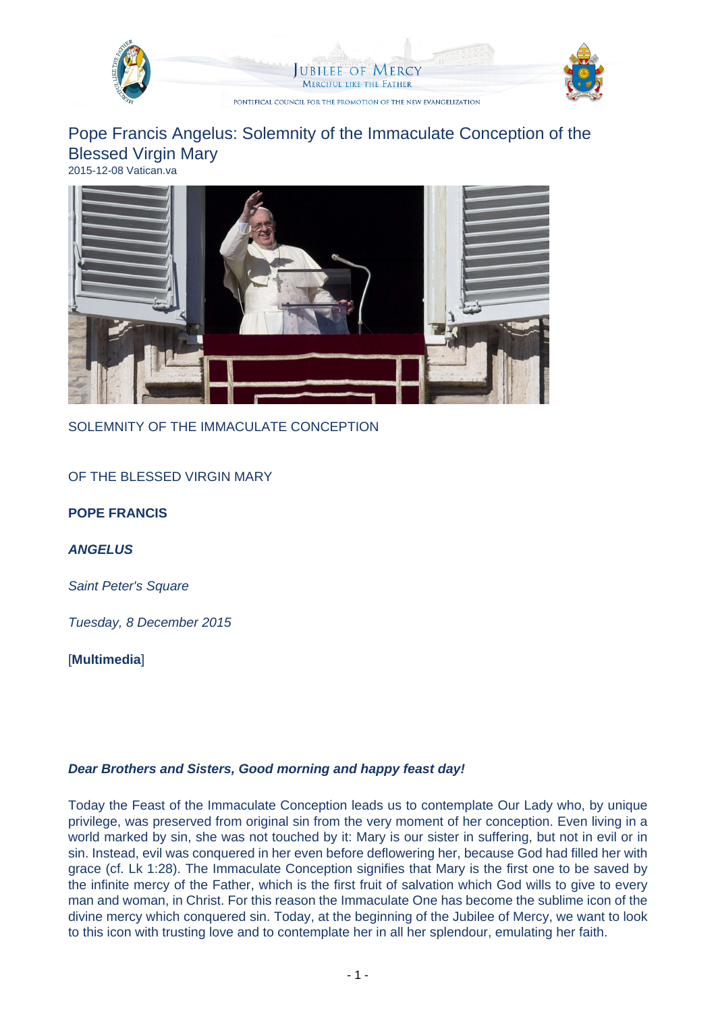

## Pope Francis Angelus: Solemnity of the Immaculate Conception of the Blessed Virgin Mary 2015-12-08 Vatican.va



SOLEMNITY OF THE IMMACULATE CONCEPTION

OF THE BLESSED VIRGIN MARY

**POPE FRANCIS**

**ANGELUS**

Saint Peter's Square

Tuesday, 8 December 2015

[**Multimedia**]

## **Dear Brothers and Sisters, Good morning and happy feast day!**

Today the Feast of the Immaculate Conception leads us to contemplate Our Lady who, by unique privilege, was preserved from original sin from the very moment of her conception. Even living in a world marked by sin, she was not touched by it: Mary is our sister in suffering, but not in evil or in sin. Instead, evil was conquered in her even before deflowering her, because God had filled her with grace (cf. Lk 1:28). The Immaculate Conception signifies that Mary is the first one to be saved by the infinite mercy of the Father, which is the first fruit of salvation which God wills to give to every man and woman, in Christ. For this reason the Immaculate One has become the sublime icon of the divine mercy which conquered sin. Today, at the beginning of the Jubilee of Mercy, we want to look to this icon with trusting love and to contemplate her in all her splendour, emulating her faith.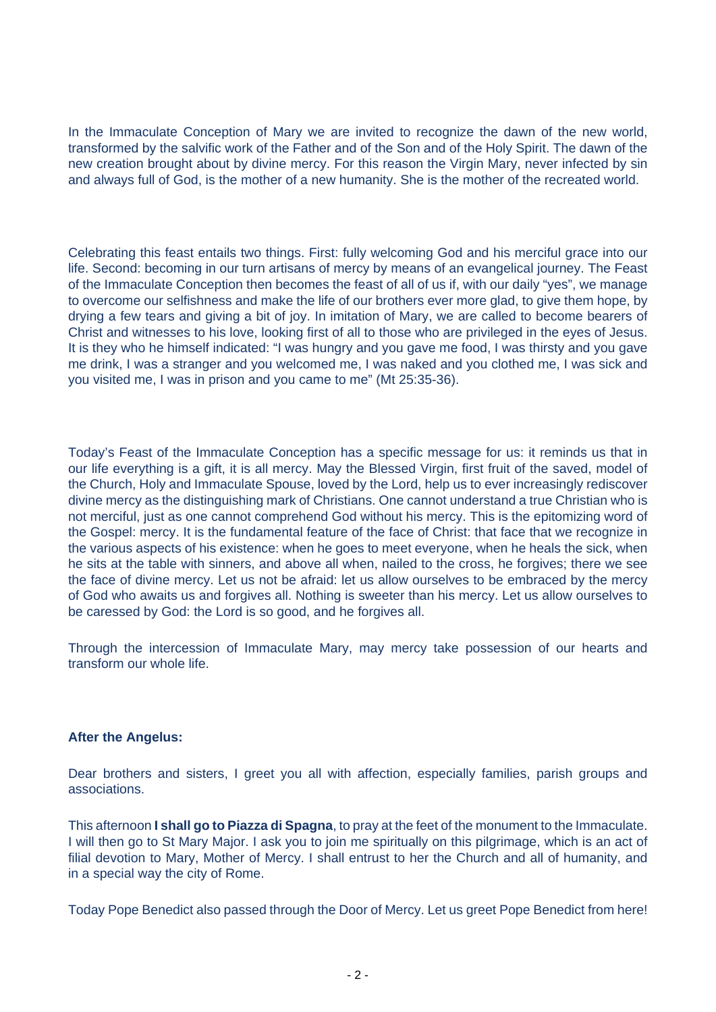In the Immaculate Conception of Mary we are invited to recognize the dawn of the new world, transformed by the salvific work of the Father and of the Son and of the Holy Spirit. The dawn of the new creation brought about by divine mercy. For this reason the Virgin Mary, never infected by sin and always full of God, is the mother of a new humanity. She is the mother of the recreated world.

Celebrating this feast entails two things. First: fully welcoming God and his merciful grace into our life. Second: becoming in our turn artisans of mercy by means of an evangelical journey. The Feast of the Immaculate Conception then becomes the feast of all of us if, with our daily "yes", we manage to overcome our selfishness and make the life of our brothers ever more glad, to give them hope, by drying a few tears and giving a bit of joy. In imitation of Mary, we are called to become bearers of Christ and witnesses to his love, looking first of all to those who are privileged in the eyes of Jesus. It is they who he himself indicated: "I was hungry and you gave me food, I was thirsty and you gave me drink, I was a stranger and you welcomed me, I was naked and you clothed me, I was sick and you visited me, I was in prison and you came to me" (Mt 25:35-36).

Today's Feast of the Immaculate Conception has a specific message for us: it reminds us that in our life everything is a gift, it is all mercy. May the Blessed Virgin, first fruit of the saved, model of the Church, Holy and Immaculate Spouse, loved by the Lord, help us to ever increasingly rediscover divine mercy as the distinguishing mark of Christians. One cannot understand a true Christian who is not merciful, just as one cannot comprehend God without his mercy. This is the epitomizing word of the Gospel: mercy. It is the fundamental feature of the face of Christ: that face that we recognize in the various aspects of his existence: when he goes to meet everyone, when he heals the sick, when he sits at the table with sinners, and above all when, nailed to the cross, he forgives; there we see the face of divine mercy. Let us not be afraid: let us allow ourselves to be embraced by the mercy of God who awaits us and forgives all. Nothing is sweeter than his mercy. Let us allow ourselves to be caressed by God: the Lord is so good, and he forgives all.

Through the intercession of Immaculate Mary, may mercy take possession of our hearts and transform our whole life.

## **After the Angelus:**

Dear brothers and sisters, I greet you all with affection, especially families, parish groups and associations.

This afternoon **I shall go to Piazza di Spagna**, to pray at the feet of the monument to the Immaculate. I will then go to St Mary Major. I ask you to join me spiritually on this pilgrimage, which is an act of filial devotion to Mary, Mother of Mercy. I shall entrust to her the Church and all of humanity, and in a special way the city of Rome.

Today Pope Benedict also passed through the Door of Mercy. Let us greet Pope Benedict from here!